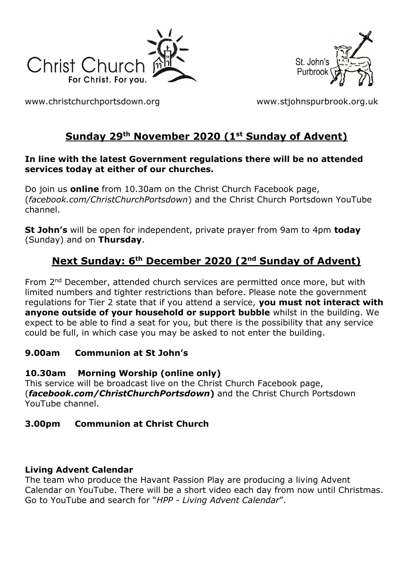



[www.christchurchportsdown.org](http://www.christchurchportsdown.org/) [www.stjohnspurbrook.org.uk](http://www.stjohnspurbrook.org.uk/)

# **Sunday 29 th November 2020 (1 st Sunday of Advent)**

#### **In line with the latest Government regulations there will be no attended services today at either of our churches.**

Do join us **online** from 10.30am on the Christ Church Facebook page, (*facebook.com/ChristChurchPortsdown*) and the Christ Church Portsdown YouTube channel.

**St John's** will be open for independent, private prayer from 9am to 4pm **today** (Sunday) and on **Thursday**.

# **Next Sunday: 6th December 2020 (2nd Sunday of Advent)**

From 2<sup>nd</sup> December, attended church services are permitted once more, but with limited numbers and tighter restrictions than before. Please note the government regulations for Tier 2 state that if you attend a service, **you must not interact with anyone outside of your household or support bubble** whilst in the building. We expect to be able to find a seat for you, but there is the possibility that any service could be full, in which case you may be asked to not enter the building.

### **9.00am Communion at St John's**

### **10.30am Morning Worship (online only)**

This service will be broadcast live on the Christ Church Facebook page, (*facebook.com/ChristChurchPortsdown***)** and the Christ Church Portsdown YouTube channel.

# **3.00pm Communion at Christ Church**

# **Living Advent Calendar**

The team who produce the Havant Passion Play are producing a living Advent Calendar on YouTube. There will be a short video each day from now until Christmas. Go to YouTube and search for "*HPP - Living Advent Calendar*".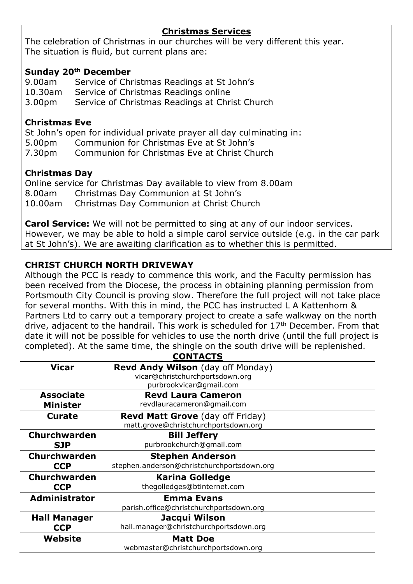#### **Christmas Services**

The celebration of Christmas in our churches will be very different this year. The situation is fluid, but current plans are:

#### **Sunday 20th December**

9.00am Service of Christmas Readings at St John's 10.30am Service of Christmas Readings online 3.00pm Service of Christmas Readings at Christ Church

#### **Christmas Eve**

St John's open for individual private prayer all day culminating in: 5.00pm Communion for Christmas Eve at St John's 7.30pm Communion for Christmas Eve at Christ Church

#### **Christmas Day**

Online service for Christmas Day available to view from 8.00am 8.00am Christmas Day Communion at St John's 10.00am Christmas Day Communion at Christ Church

**Carol Service:** We will not be permitted to sing at any of our indoor services. However, we may be able to hold a simple carol service outside (e.g. in the car park at St John's). We are awaiting clarification as to whether this is permitted.

#### **CHRIST CHURCH NORTH DRIVEWAY**

Although the PCC is ready to commence this work, and the Faculty permission has been received from the Diocese, the process in obtaining planning permission from Portsmouth City Council is proving slow. Therefore the full project will not take place for several months. With this in mind, the PCC has instructed L A Kattenhorn & Partners Ltd to carry out a temporary project to create a safe walkway on the north drive, adjacent to the handrail. This work is scheduled for  $17<sup>th</sup>$  December. From that date it will not be possible for vehicles to use the north drive (until the full project is completed). At the same time, the shingle on the south drive will be replenished.

|                      | <b>CONTACTS</b>                            |
|----------------------|--------------------------------------------|
| <b>Vicar</b>         | <b>Revd Andy Wilson</b> (day off Monday)   |
|                      | vicar@christchurchportsdown.org            |
|                      | purbrookvicar@gmail.com                    |
| <b>Associate</b>     | <b>Revd Laura Cameron</b>                  |
| <b>Minister</b>      | revdlauracameron@gmail.com                 |
| <b>Curate</b>        | <b>Revd Matt Grove</b> (day off Friday)    |
|                      | matt.grove@christchurchportsdown.org       |
| Churchwarden         | <b>Bill Jeffery</b>                        |
| <b>SJP</b>           | purbrookchurch@gmail.com                   |
| <b>Churchwarden</b>  | <b>Stephen Anderson</b>                    |
| <b>CCP</b>           | stephen.anderson@christchurchportsdown.org |
| <b>Churchwarden</b>  | <b>Karina Golledge</b>                     |
| <b>CCP</b>           | thegolledges@btinternet.com                |
| <b>Administrator</b> | <b>Emma Evans</b>                          |
|                      | parish.office@christchurchportsdown.org    |
| <b>Hall Manager</b>  | Jacqui Wilson                              |
| <b>CCP</b>           | hall.manager@christchurchportsdown.org     |
| Website              | <b>Matt Doe</b>                            |
|                      | webmaster@christchurchportsdown.org        |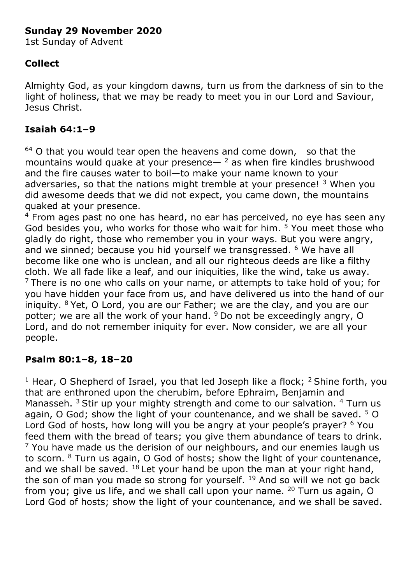# **Sunday 29 November 2020**

1st Sunday of Advent

# **Collect**

Almighty God, as your kingdom dawns, turn us from the darkness of sin to the light of holiness, that we may be ready to meet you in our Lord and Saviour, Jesus Christ.

# **Isaiah 64:1–9**

 $64$  O that you would tear open the heavens and come down, so that the mountains would quake at your presence $-$ <sup>2</sup> as when fire kindles brushwood and the fire causes water to boil—to make your name known to your adversaries, so that the nations might tremble at your presence! <sup>3</sup> When you did awesome deeds that we did not expect, you came down, the mountains quaked at your presence.

 $4$  From ages past no one has heard, no ear has perceived, no eye has seen any God besides you, who works for those who wait for him. <sup>5</sup> You meet those who gladly do right, those who remember you in your ways. But you were angry, and we sinned; because you hid yourself we transgressed. <sup>6</sup> We have all become like one who is unclean, and all our righteous deeds are like a filthy cloth. We all fade like a leaf, and our iniquities, like the wind, take us away.  $7$  There is no one who calls on your name, or attempts to take hold of you; for you have hidden your face from us, and have delivered us into the hand of our iniquity.  $8$  Yet, O Lord, you are our Father; we are the clay, and you are our potter; we are all the work of your hand. <sup>9</sup> Do not be exceedingly angry, O Lord, and do not remember iniquity for ever. Now consider, we are all your people.

# **Psalm 80:1–8, 18–20**

<sup>1</sup> Hear, O Shepherd of Israel, you that led Joseph like a flock;  $^2$  Shine forth, you that are enthroned upon the cherubim, before Ephraim, Benjamin and Manasseh. <sup>3</sup> Stir up your mighty strength and come to our salvation. <sup>4</sup> Turn us again, O God; show the light of your countenance, and we shall be saved.  $5$  O Lord God of hosts, how long will you be angry at your people's prayer? <sup>6</sup> You feed them with the bread of tears; you give them abundance of tears to drink.  $<sup>7</sup>$  You have made us the derision of our neighbours, and our enemies laugh us</sup> to scorn. <sup>8</sup> Turn us again, O God of hosts; show the light of your countenance, and we shall be saved.  $18$  Let your hand be upon the man at your right hand, the son of man you made so strong for yourself.  $19$  And so will we not go back from you; give us life, and we shall call upon your name. <sup>20</sup> Turn us again, O Lord God of hosts; show the light of your countenance, and we shall be saved.